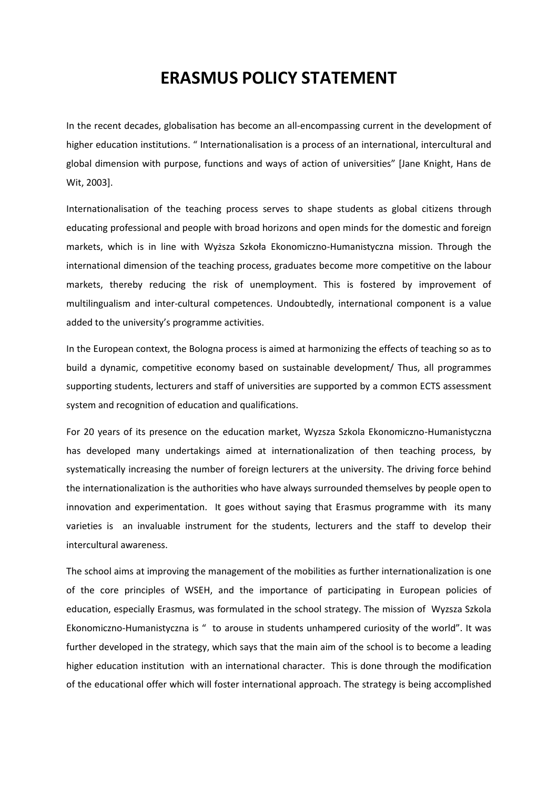## **ERASMUS POLICY STATEMENT**

In the recent decades, globalisation has become an all-encompassing current in the development of higher education institutions. " Internationalisation is a process of an international, intercultural and global dimension with purpose, functions and ways of action of universities" [Jane Knight, Hans de Wit, 2003].

Internationalisation of the teaching process serves to shape students as global citizens through educating professional and people with broad horizons and open minds for the domestic and foreign markets, which is in line with Wyższa Szkoła Ekonomiczno-Humanistyczna mission. Through the international dimension of the teaching process, graduates become more competitive on the labour markets, thereby reducing the risk of unemployment. This is fostered by improvement of multilingualism and inter-cultural competences. Undoubtedly, international component is a value added to the university's programme activities.

In the European context, the Bologna process is aimed at harmonizing the effects of teaching so as to build a dynamic, competitive economy based on sustainable development/ Thus, all programmes supporting students, lecturers and staff of universities are supported by a common ECTS assessment system and recognition of education and qualifications.

For 20 years of its presence on the education market, Wyzsza Szkola Ekonomiczno-Humanistyczna has developed many undertakings aimed at internationalization of then teaching process, by systematically increasing the number of foreign lecturers at the university. The driving force behind the internationalization is the authorities who have always surrounded themselves by people open to innovation and experimentation. It goes without saying that Erasmus programme with its many varieties is an invaluable instrument for the students, lecturers and the staff to develop their intercultural awareness.

The school aims at improving the management of the mobilities as further internationalization is one of the core principles of WSEH, and the importance of participating in European policies of education, especially Erasmus, was formulated in the school strategy. The mission of Wyzsza Szkola Ekonomiczno-Humanistyczna is " to arouse in students unhampered curiosity of the world". It was further developed in the strategy, which says that the main aim of the school is to become a leading higher education institution with an international character. This is done through the modification of the educational offer which will foster international approach. The strategy is being accomplished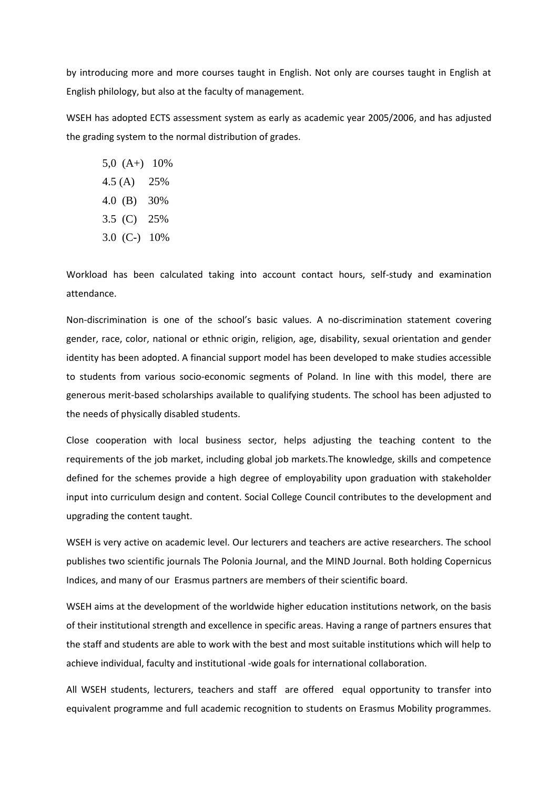by introducing more and more courses taught in English. Not only are courses taught in English at English philology, but also at the faculty of management.

WSEH has adopted ECTS assessment system as early as academic year 2005/2006, and has adjusted the grading system to the normal distribution of grades.

5,0 (A+) 10% 4.5 (A) 25% 4.0 (B) 30% 3.5 (C) 25% 3.0 (C-) 10%

Workload has been calculated taking into account contact hours, self-study and examination attendance.

Non-discrimination is one of the school's basic values. A no-discrimination statement covering gender, race, color, national or ethnic origin, religion, age, disability, sexual orientation and gender identity has been adopted. A financial support model has been developed to make studies accessible to students from various socio-economic segments of Poland. In line with this model, there are generous merit-based scholarships available to qualifying students. The school has been adjusted to the needs of physically disabled students.

Close cooperation with local business sector, helps adjusting the teaching content to the requirements of the job market, including global job markets.The knowledge, skills and competence defined for the schemes provide a high degree of employability upon graduation with stakeholder input into curriculum design and content. Social College Council contributes to the development and upgrading the content taught.

WSEH is very active on academic level. Our lecturers and teachers are active researchers. The school publishes two scientific journals The Polonia Journal, and the MIND Journal. Both holding Copernicus Indices, and many of our Erasmus partners are members of their scientific board.

WSEH aims at the development of the worldwide higher education institutions network, on the basis of their institutional strength and excellence in specific areas. Having a range of partners ensures that the staff and students are able to work with the best and most suitable institutions which will help to achieve individual, faculty and institutional -wide goals for international collaboration.

All WSEH students, lecturers, teachers and staff are offered equal opportunity to transfer into equivalent programme and full academic recognition to students on Erasmus Mobility programmes.